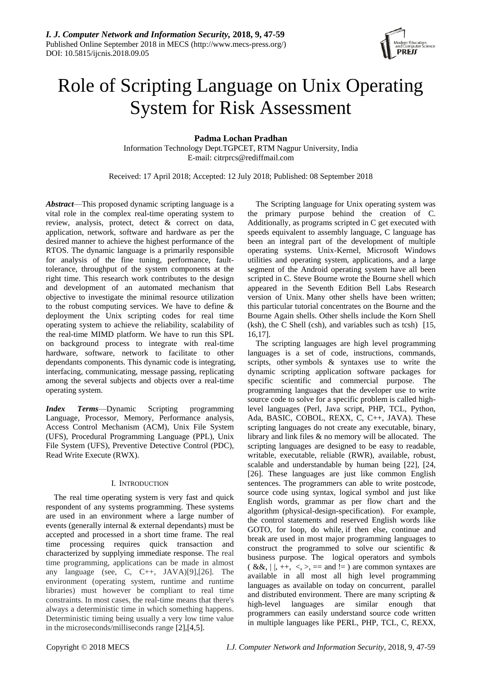

# Role of Scripting Language on Unix Operating System for Risk Assessment

# **Padma Lochan Pradhan**

Information Technology Dept.TGPCET, RTM Nagpur University, India E-mail: citrprcs@rediffmail.com

Received: 17 April 2018; Accepted: 12 July 2018; Published: 08 September 2018

*Abstract*—This proposed dynamic scripting language is a vital role in the complex real-time operating system to review, analysis, protect, detect & correct on data, application, network, software and hardware as per the desired manner to achieve the highest performance of the RTOS. The dynamic language is a primarily responsible for analysis of the fine tuning, performance, faulttolerance, throughput of the system components at the right time. This research work contributes to the design and development of an automated mechanism that objective to investigate the minimal resource utilization to the robust computing services. We have to define & deployment the Unix scripting codes for real time operating system to achieve the reliability, scalability of the real-time MIMD platform. We have to run this SPL on background process to integrate with real-time hardware, software, network to facilitate to other dependants components. This dynamic code is integrating, interfacing, communicating, message passing, replicating among the several subjects and objects over a real-time operating system.

*Index Terms*—Dynamic Scripting programming Language, Processor, Memory, Performance analysis, Access Control Mechanism (ACM), Unix File System (UFS), Procedural Programming Language (PPL), Unix File System (UFS), Preventive Detective Control (PDC), Read Write Execute (RWX).

# I. INTRODUCTION

The real time operating system is very fast and quick respondent of any systems programming. These systems are used in an environment where a large number of events (generally internal & external dependants) must be accepted and processed in a short time frame. The real time processing requires quick transaction and characterized by supplying immediate response. The real time programming, applications can be made in almost any language (see, C, C++, JAVA)[9],[26]. The environment (operating system, runtime and runtime libraries) must however be compliant to real time constraints. In most cases, the real-time means that there's always a deterministic time in which something happens. Deterministic timing being usually a very low time value in the microseconds/milliseconds range [2],[4,5].

The Scripting language for Unix operating system was the primary purpose behind the creation of C. Additionally, as programs scripted in C get executed with speeds equivalent to assembly language, C language has been an integral part of the development of multiple operating systems. Unix-Kernel, Microsoft Windows utilities and operating system, applications, and a large segment of the Android operating system have all been scripted in C. Steve Bourne wrote the Bourne shell which appeared in the Seventh Edition Bell Labs Research version of Unix. Many other shells have been written; this particular tutorial concentrates on the Bourne and the Bourne Again shells. Other shells include the Korn Shell (ksh), the C Shell (csh), and variables such as tcsh) [15, 16,17].

The scripting languages are high level programming languages is a set of code, instructions, commands, scripts, other symbols & syntaxes use to write the dynamic scripting application software packages for specific scientific and commercial purpose. The programming languages that the developer use to write source code to solve for a specific problem is called highlevel languages (Perl, Java script, PHP, TCL, Python, Ada, BASIC, COBOL, REXX, C, C++, JAVA). These scripting languages do not create any executable, binary, library and link files & no memory will be allocated. The scripting languages are designed to be easy to readable, writable, executable, reliable (RWR), available, robust, scalable and understandable by human being [22], [24, [26]. These languages are just like common English sentences. The programmers can able to write postcode, source code using syntax, logical symbol and just like English words, grammar as per flow chart and the algorithm (physical-design-specification). For example, the control statements and reserved English words like GOTO, for loop, do while, if then else, continue and break are used in most major programming languages to construct the programmed to solve our scientific & business purpose. The logical operators and symbols  $(x&x, |x|, ++,-,-) =$  and  $x=0$  are common syntaxes are available in all most all high level programming languages as available on today on concurrent, parallel and distributed environment. There are many scripting & high-level languages are similar enough that programmers can easily understand source code written in multiple languages like PERL, PHP, TCL, C, REXX,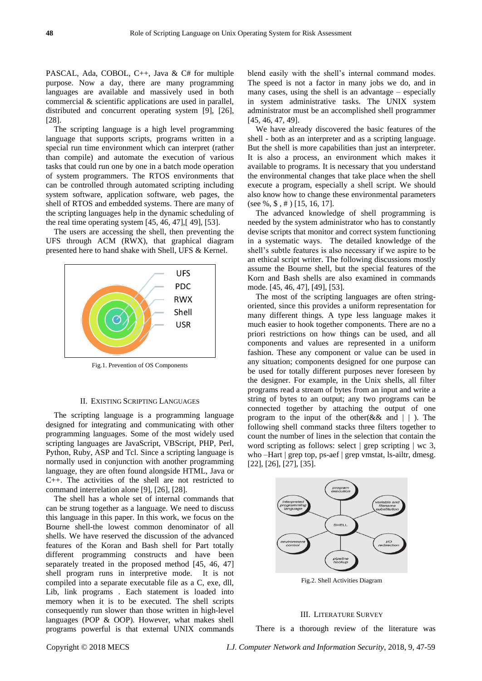PASCAL, Ada, COBOL, C++, Java & C# for multiple purpose. Now a day, there are many programming languages are available and massively used in both commercial & scientific applications are used in parallel, distributed and concurrent operating system [9], [26], [28].

The scripting language is a high level programming language that supports scripts, programs written in a special run time environment which can interpret (rather than compile) and automate the execution of various tasks that could run one by one in a batch mode operation of system programmers. The RTOS environments that can be controlled through automated scripting including system software, application software, web pages, the shell of RTOS and embedded systems. There are many of the scripting languages help in the dynamic scheduling of the real time operating system [45, 46, 47],[ 49], [53].

The users are accessing the shell, then preventing the UFS through ACM (RWX), that graphical diagram presented here to hand shake with Shell, UFS & Kernel.



Fig.1. Prevention of OS Components

#### II. EXISTING SCRIPTING LANGUAGES

The scripting language is a programming language designed for integrating and communicating with other programming languages. Some of the most widely used scripting languages are JavaScript, VBScript, PHP, Perl, Python, Ruby, ASP and Tcl. Since a scripting language is normally used in conjunction with another programming language, they are often found alongside HTML, Java or C++. The activities of the shell are not restricted to command interrelation alone [9], [26], [28].

The shell has a whole set of internal commands that can be strung together as a language. We need to discuss this language in this paper. In this work, we focus on the Bourne shell-the lowest common denominator of all shells. We have reserved the discussion of the advanced features of the Koran and Bash shell for Part totally different programming constructs and have been separately treated in the proposed method [45, 46, 47] shell program runs in interpretive mode. It is not compiled into a separate executable file as a C, exe, dll, Lib, link programs . Each statement is loaded into memory when it is to be executed. The shell scripts consequently run slower than those written in high-level languages (POP & OOP). However, what makes shell programs powerful is that external UNIX commands

blend easily with the shell's internal command modes. The speed is not a factor in many jobs we do, and in many cases, using the shell is an advantage – especially in system administrative tasks. The UNIX system administrator must be an accomplished shell programmer [45, 46, 47, 49].

We have already discovered the basic features of the shell - both as an interpreter and as a scripting language. But the shell is more capabilities than just an interpreter. It is also a process, an environment which makes it available to programs. It is necessary that you understand the environmental changes that take place when the shell execute a program, especially a shell script. We should also know how to change these environmental parameters (see  $\%$ ,  $\$$ ,  $\#$ ) [15, 16, 17].

The advanced knowledge of shell programming is needed by the system administrator who has to constantly devise scripts that monitor and correct system functioning in a systematic ways. The detailed knowledge of the shell's subtle features is also necessary if we aspire to be an ethical script writer. The following discussions mostly assume the Bourne shell, but the special features of the Korn and Bash shells are also examined in commands mode. [45, 46, 47], [49], [53].

The most of the scripting languages are often stringoriented, since this provides a uniform representation for many different things. A type less language makes it much easier to hook together components. There are no a priori restrictions on how things can be used, and all components and values are represented in a uniform fashion. These any component or value can be used in any situation; components designed for one purpose can be used for totally different purposes never foreseen by the designer. For example, in the Unix shells, all filter programs read a stream of bytes from an input and write a string of bytes to an output; any two programs can be connected together by attaching the output of one program to the input of the other( $& \&$  and  $| \ |$ ). The following shell command stacks three filters together to count the number of lines in the selection that contain the word scripting as follows: select | grep scripting | wc 3, who –Hart | grep top, ps-aef | grep vmstat, ls-ailtr, dmesg. [22], [26], [27], [35].



Fig.2. Shell Activities Diagram

## III. LITERATURE SURVEY

There is a thorough review of the literature was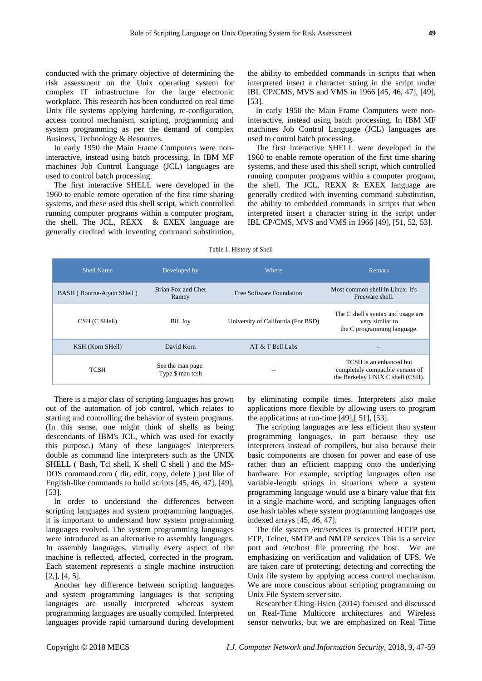conducted with the primary objective of determining the risk assessment on the Unix operating system for complex IT infrastructure for the large electronic workplace. This research has been conducted on real time Unix file systems applying hardening, re-configuration, access control mechanism, scripting, programming and system programming as per the demand of complex Business, Technology & Resources.

In early 1950 the Main Frame Computers were noninteractive, instead using batch processing. In IBM MF machines Job Control Language (JCL) languages are used to control batch processing.

The first interactive SHELL were developed in the 1960 to enable remote operation of the first time sharing systems, and these used this shell script, which controlled running computer programs within a computer program, the shell. The JCL, REXX & EXEX language are generally credited with inventing command substitution, the ability to embedded commands in scripts that when interpreted insert a character string in the script under IBL CP/CMS, MVS and VMS in 1966 [45, 46, 47], [49], [53].

In early 1950 the Main Frame Computers were noninteractive, instead using batch processing. In IBM MF machines Job Control Language (JCL) languages are used to control batch processing.

The first interactive SHELL were developed in the 1960 to enable remote operation of the first time sharing systems, and these used this shell script, which controlled running computer programs within a computer program, the shell. The JCL, REXX & EXEX language are generally credited with inventing command substitution, the ability to embedded commands in scripts that when interpreted insert a character string in the script under IBL CP/CMS, MVS and VMS in 1966 [49], [51, 52, 53].

| <b>Shell Name</b>         | Developed by                          | Where                              | Remark                                                                                          |
|---------------------------|---------------------------------------|------------------------------------|-------------------------------------------------------------------------------------------------|
| BASH (Bourne-Again SHell) | Brian Fox and Chet<br>Ramey           | Free Software Foundation           | Most common shell in Linux. It's<br>Freeware shell.                                             |
| CSH (C SHell)             | Bill Joy                              | University of California (For BSD) | The C shell's syntax and usage are<br>very similar to<br>the C programming language.            |
| KSH (Korn SHell)          | David Korn                            | AT & T Bell Labs                   | --                                                                                              |
| <b>TCSH</b>               | See the man page.<br>Type \$ man tcsh | --                                 | TCSH is an enhanced but<br>completely compatible version of<br>the Berkeley UNIX C shell (CSH). |

#### Table 1. History of Shell

There is a major class of scripting languages has grown out of the automation of job control, which relates to starting and controlling the behavior of system programs. (In this sense, one might think of shells as being descendants of IBM's JCL, which was used for exactly this purpose.) Many of these languages' interpreters double as command line interpreters such as the UNIX SHELL ( Bash, Tcl shell, K shell C shell ) and the MS-DOS command.com ( dir, edit, copy, delete ) just like of English-like commands to build scripts [45, 46, 47], [49], [53].

In order to understand the differences between scripting languages and system programming languages, it is important to understand how system programming languages evolved. The system programming languages were introduced as an alternative to assembly languages. In assembly languages, virtually every aspect of the machine is reflected, affected, corrected in the program. Each statement represents a single machine instruction  $[2,], [4, 5].$ 

Another key difference between scripting languages and system programming languages is that scripting languages are usually interpreted whereas system programming languages are usually compiled. Interpreted languages provide rapid turnaround during development by eliminating compile times. Interpreters also make applications more flexible by allowing users to program the applications at run-time [49],[ 51], [53].

The scripting languages are less efficient than system programming languages, in part because they use interpreters instead of compilers, but also because their basic components are chosen for power and ease of use rather than an efficient mapping onto the underlying hardware. For example, scripting languages often use variable-length strings in situations where a system programming language would use a binary value that fits in a single machine word, and scripting languages often use hash tables where system programming languages use indexed arrays [45, 46, 47].

The file system /etc/services is protected HTTP port, FTP, Telnet, SMTP and NMTP services This is a service port and /etc/host file protecting the host. We are emphasizing on verification and validation of UFS. We are taken care of protecting; detecting and correcting the Unix file system by applying access control mechanism. We are more conscious about scripting programming on Unix File System server site.

Researcher Ching-Hsien (2014) focused and discussed on Real-Time Multicore architectures and Wireless sensor networks, but we are emphasized on Real Time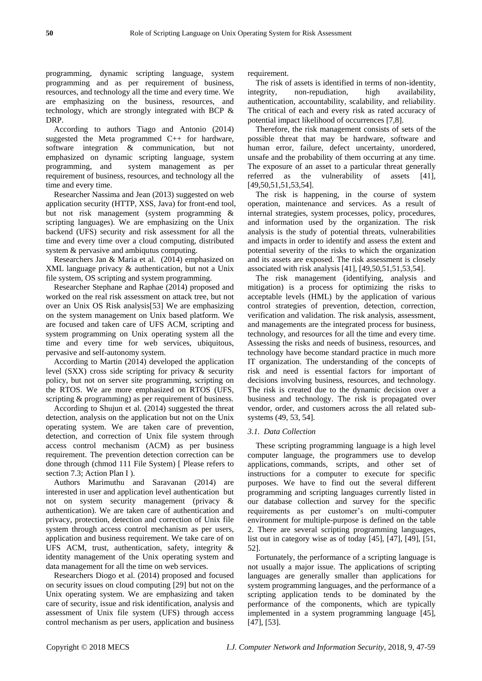programming, dynamic scripting language, system programming and as per requirement of business, resources, and technology all the time and every time. We are emphasizing on the business, resources, and technology, which are strongly integrated with BCP & DRP.

According to authors Tiago and Antonio (2014) suggested the Meta programmed C++ for hardware, software integration & communication, but not emphasized on dynamic scripting language, system programming, and system management as per requirement of business, resources, and technology all the time and every time.

Researcher Nassima and Jean (2013) suggested on web application security (HTTP, XSS, Java) for front-end tool, but not risk management (system programming & scripting languages). We are emphasizing on the Unix backend (UFS) security and risk assessment for all the time and every time over a cloud computing, distributed system & pervasive and ambiqutus computing.

Researchers Jan & Maria et al. (2014) emphasized on XML language privacy & authentication, but not a Unix file system, OS scripting and system programming.

Researcher Stephane and Raphae (2014) proposed and worked on the real risk assessment on attack tree, but not over an Unix OS Risk analysis[53] We are emphasizing on the system management on Unix based platform. We are focused and taken care of UFS ACM, scripting and system programming on Unix operating system all the time and every time for web services, ubiquitous, pervasive and self-autonomy system.

According to Martin (2014) developed the application level (SXX) cross side scripting for privacy & security policy, but not on server site programming, scripting on the RTOS. We are more emphasized on RTOS (UFS, scripting  $&$  programming) as per requirement of business.

According to Shujun et al. (2014) suggested the threat detection, analysis on the application but not on the Unix operating system. We are taken care of prevention, detection, and correction of Unix file system through access control mechanism (ACM) as per business requirement. The prevention detection correction can be done through (chmod 111 File System) [ Please refers to section 7.3; Action Plan I).

Authors Marimuthu and Saravanan (2014) are interested in user and application level authentication but not on system security management (privacy & authentication). We are taken care of authentication and privacy, protection, detection and correction of Unix file system through access control mechanism as per users, application and business requirement. We take care of on UFS ACM, trust, authentication, safety, integrity & identity management of the Unix operating system and data management for all the time on web services.

Researchers Diogo et al. (2014) proposed and focused on security issues on cloud computing [29] but not on the Unix operating system. We are emphasizing and taken care of security, issue and risk identification, analysis and assessment of Unix file system (UFS) through access control mechanism as per users, application and business

requirement.

The risk of assets is identified in terms of non-identity, integrity, non-repudiation, high availability, authentication, accountability, scalability, and reliability. The critical of each and every risk as rated accuracy of potential impact likelihood of occurrences [7,8].

Therefore, the risk management consists of sets of the possible threat that may be hardware, software and human error, failure, defect uncertainty, unordered, unsafe and the probability of them occurring at any time. The exposure of an asset to a particular threat generally referred as the vulnerability of assets [41], [49,50,51,51,53,54].

The risk is happening, in the course of system operation, maintenance and services. As a result of internal strategies, system processes, policy, procedures, and information used by the organization. The risk analysis is the study of potential threats, vulnerabilities and impacts in order to identify and assess the extent and potential severity of the risks to which the organization and its assets are exposed. The risk assessment is closely associated with risk analysis [41], [49,50,51,51,53,54].

The risk management (identifying, analysis and mitigation) is a process for optimizing the risks to acceptable levels (HML) by the application of various control strategies of prevention, detection, correction, verification and validation. The risk analysis, assessment, and managements are the integrated process for business, technology, and resources for all the time and every time. Assessing the risks and needs of business, resources, and technology have become standard practice in much more IT organization. The understanding of the concepts of risk and need is essential factors for important of decisions involving business, resources, and technology. The risk is created due to the dynamic decision over a business and technology. The risk is propagated over vendor, order, and customers across the all related subsystems (49, 53, 54].

# *3.1. Data Collection*

These scripting programming language is a high level computer language, the programmers use to develop applications, commands, scripts, and other set of instructions for a computer to execute for specific purposes. We have to find out the several different programming and scripting languages currently listed in our database collection and survey for the specific requirements as per customer's on multi-computer environment for multiple-purpose is defined on the table 2. There are several scripting programming languages, list out in category wise as of today [45], [47], [49], [51, 52].

Fortunately, the performance of a scripting language is not usually a major issue. The applications of scripting languages are generally smaller than applications for system programming languages, and the performance of a scripting application tends to be dominated by the performance of the components, which are typically implemented in a system programming language [45], [47], [53].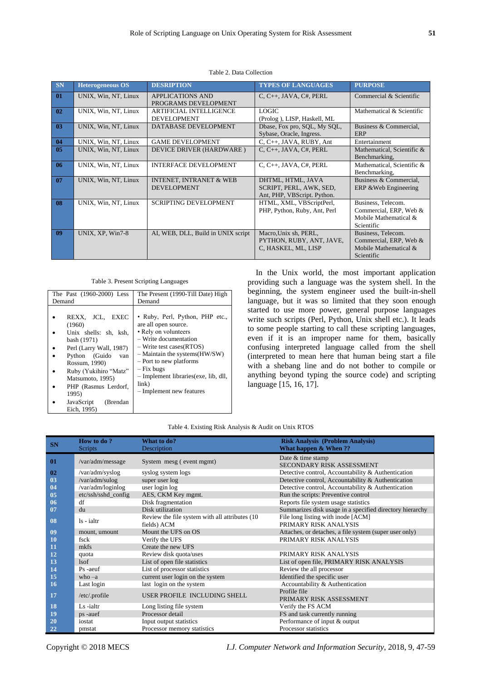| SN             | <b>Heterogeneous OS</b> | <b>DESRIPTION</b>                                        | <b>TYPES OF LANGUAGES</b>                                                   | <b>PURPOSE</b>                                                                             |
|----------------|-------------------------|----------------------------------------------------------|-----------------------------------------------------------------------------|--------------------------------------------------------------------------------------------|
| 01             | UNIX, Win, NT, Linux    | <b>APPLICATIONS AND</b><br>PROGRAMS DEVELOPMENT          | $C, C++, JAVA, C#, PERL$                                                    | Commercial & Scientific                                                                    |
| 02             | UNIX, Win, NT, Linux    | <b>ARTIFICIAL INTELLIGENCE</b><br><b>DEVELOPMENT</b>     | LOGIC<br>(Prolog), LISP, Haskell, ML                                        | Mathematical & Scientific                                                                  |
| 0 <sub>3</sub> | UNIX, Win, NT, Linux    | DATABASE DEVELOPMENT                                     | Dbase, Fox pro, SQL, My SQL,<br>Sybase, Oracle, Ingress.                    | Business & Commercial,<br><b>ERP</b>                                                       |
| 04             | UNIX, Win, NT, Linux    | <b>GAME DEVELOPMENT</b>                                  | $C, C++, JAVA, RUBY, Ant$                                                   | Entertainment                                                                              |
| 05             | UNIX, Win, NT, Linux    | DEVICE DRIVER (HARDWARE)                                 | $C, C++, JAVA, C#, PERL$                                                    | Mathematical, Scientific &<br>Benchmarking,                                                |
| 06             | UNIX, Win, NT, Linux    | <b>INTERFACE DEVELOPMENT</b>                             | $C, C++, JAVA, C#, PERL$                                                    | Mathematical, Scientific &<br>Benchmarking,                                                |
| 07             | UNIX, Win, NT, Linux    | <b>INTENET, INTRANET &amp; WEB</b><br><b>DEVELOPMENT</b> | DHTML, HTML, JAVA<br>SCRIPT, PERL, AWK, SED,<br>Ant, PHP, VBScript. Python. | Business & Commercial,<br>ERP & Web Engineering                                            |
| 08             | UNIX, Win, NT, Linux    | <b>SCRIPTING DEVELOPMENT</b>                             | HTML, XML, VBScriptPerl,<br>PHP, Python, Ruby, Ant, Perl                    | Business, Telecom.<br>Commercial, ERP, Web &<br>Mobile Mathematical &<br><b>Scientific</b> |
| 09             | UNIX, XP, Win7-8        | AI, WEB, DLL, Build in UNIX script                       | Macro, Unix sh, PERL,<br>PYTHON, RUBY, ANT, JAVE,<br>C, HASKEL, ML, LISP    | Business, Telecom.<br>Commercial, ERP, Web &<br>Mobile Mathematical &<br>Scientific        |

| Table 2. Data Collection |  |  |  |
|--------------------------|--|--|--|
|--------------------------|--|--|--|

Table 3. Present Scripting Languages

| The Past (1960-2000) Less<br>Demand                                                                                                                                                                                                           | The Present (1990-Till Date) High<br>Demand                                                                                                                                                                                                                                                             |
|-----------------------------------------------------------------------------------------------------------------------------------------------------------------------------------------------------------------------------------------------|---------------------------------------------------------------------------------------------------------------------------------------------------------------------------------------------------------------------------------------------------------------------------------------------------------|
| REXX, JCL, EXEC<br>(1960)<br>Unix shells: sh, ksh,<br>bash (1971)<br>Perl (Larry Wall, 1987)<br>Python (Guido<br>van<br>Rossum, 1990)<br>Ruby (Yukihiro "Matz"<br>Matsumoto, 1995)<br>PHP (Rasmus Lerdorf,<br>1995)<br>JavaScript<br>(Brendan | • Ruby, Perl, Python, PHP etc.,<br>are all open source.<br>• Rely on volunteers<br>- Write documentation<br>$-$ Write test cases (RTOS)<br>$-$ Maintain the systems ( $HW/SW$ )<br>- Port to new platforms<br>$-Fix$ bugs<br>- Implement libraries (exe, lib, dll,<br>link)<br>- Implement new features |
| Eich, 1995)                                                                                                                                                                                                                                   |                                                                                                                                                                                                                                                                                                         |

In the Unix world, the most important application providing such a language was the system shell. In the beginning, the system engineer used the built-in-shell language, but it was so limited that they soon enough started to use more power, general purpose languages write such scripts (Perl, Python, Unix shell etc.). It leads to some people starting to call these scripting languages, even if it is an improper name for them, basically confusing interpreted language called from the shell (interpreted to mean here that human being start a file with a shebang line and do not bother to compile or anything beyond typing the source code) and scripting language [15, 16, 17].

# Table 4. Existing Risk Analysis & Audit on Unix RTOS

|           | How to do?          | What to do?                                     | <b>Risk Analysis (Problem Analysis)</b>                  |
|-----------|---------------------|-------------------------------------------------|----------------------------------------------------------|
| <b>SN</b> | <b>Scripts</b>      | Description                                     | What happen & When ??                                    |
|           |                     |                                                 | Date & time stamp                                        |
| 01        | /var/adm/message    | System mesg (event mgmt)                        | SECONDARY RISK ASSESSMENT                                |
| 02        | /var/adm/syslog     | syslog system logs                              | Detective control, Accountability & Authentication       |
| 03        | /var/adm/sulog      | super user log                                  | Detective control, Accountability & Authentication       |
| 04        | /var/adm/loginlog   | user login log                                  | Detective control, Accountability & Authentication       |
| 05        | etc/ssh/sshd_config | AES, CKM Key mgmt.                              | Run the scripts: Preventive control                      |
| 06        | df                  | Disk fragmentation                              | Reports file system usage statistics                     |
| 07        | du                  | Disk utilization                                | Summarizes disk usage in a specified directory hierarchy |
| 08        | $ls - ialtr$        | Review the file system with all attributes (10) | File long listing with inode [ACM]                       |
|           |                     | fields) ACM                                     | PRIMARY RISK ANALYSIS                                    |
| 09        | mount, umount       | Mount the UFS on OS                             | Attaches, or detaches, a file system (super user only)   |
| 10        | fsck                | Verify the UFS                                  | PRIMARY RISK ANALYSIS                                    |
| 11        | mkfs                | Create the new UFS                              |                                                          |
| 12        | quota               | Review disk quota/uses                          | PRIMARY RISK ANALYSIS                                    |
| 13        | 1sof                | List of open file statistics                    | List of open file, PRIMARY RISK ANALYSIS                 |
| 14        | Ps -aeuf            | List of processor statistics                    | Review the all processor                                 |
| 15        | who $-a$            | current user login on the system                | Identified the specific user                             |
| 16        | Last login          | last login on the system                        | Accountability & Authentication                          |
| 17        | /etc/.profile       | USER PROFILE INCLUDING SHELL                    | Profile file                                             |
|           |                     |                                                 | PRIMARY RISK ASSESSMENT                                  |
| 18        | Ls-ialtr            | Long listing file system                        | Verify the FS ACM                                        |
| 19        | ps -auef            | Processor detail                                | FS and task currently running                            |
| 20        | iostat              | Input output statistics                         | Performance of input & output                            |
| 22        | pmstat              | Processor memory statistics                     | Processor statistics                                     |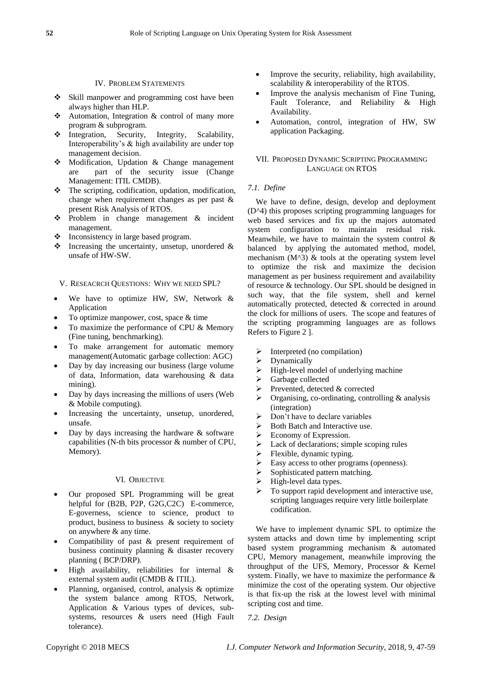## IV. PROBLEM STATEMENTS

- **❖** Skill manpower and programming cost have been always higher than HLP.
- $\triangle$  Automation, Integration & control of many more program & subprogram.
- $\triangleleft$  Integration, Security, Integrity, Scalability, Interoperability's & high availability are under top management decision.
- Modification, Updation & Change management are part of the security issue (Change Management: ITIL CMDB).
- $\triangle$  The scripting, codification, updation, modification, change when requirement changes as per past & present Risk Analysis of RTOS.
- Problem in change management & incident management.
- $\triangle$  Inconsistency in large based program.
- $\triangle$  Increasing the uncertainty, unsetup, unordered  $\&$ unsafe of HW-SW.

## V. RESEACRCH QUESTIONS: WHY WE NEED SPL?

- We have to optimize HW, SW, Network & Application
- To optimize manpower, cost, space & time
- To maximize the performance of CPU & Memory (Fine tuning, benchmarking).
- To make arrangement for automatic memory management(Automatic garbage collection: AGC)
- Day by day increasing our business (large volume of data, Information, data warehousing & data mining).
- Day by days increasing the millions of users (Web & Mobile computing).
- Increasing the uncertainty, unsetup, unordered, unsafe.
- Day by days increasing the hardware  $\&$  software capabilities (N-th bits processor & number of CPU, Memory).

## VI. OBJECTIVE

- Our proposed SPL Programming will be great helpful for (B2B, P2P, G2G,C2C) E-commerce, E-governess, science to science, product to product, business to business & society to society on anywhere & any time.
- Compatibility of past & present requirement of business continuity planning & disaster recovery planning ( BCP/DRP).
- High availability, reliabilities for internal & external system audit (CMDB & ITIL).
- Planning, organised, control, analysis & optimize the system balance among RTOS, Network, Application & Various types of devices, subsystems, resources & users need (High Fault tolerance).
- Improve the security, reliability, high availability, scalability & interoperability of the RTOS.
- Improve the analysis mechanism of Fine Tuning, Fault Tolerance, and Reliability & High Availability.
- Automation, control, integration of HW, SW application Packaging.

# VII. PROPOSED DYNAMIC SCRIPTING PROGRAMMING LANGUAGE ON RTOS

# *7.1. Define*

We have to define, design, develop and deployment (D^4) this proposes scripting programming languages for web based services and fix up the majors automated system configuration to maintain residual risk. Meanwhile, we have to maintain the system control & balanced by applying the automated method, model, mechanism  $(M^{\wedge}3)$  & tools at the operating system level to optimize the risk and maximize the decision management as per business requirement and availability of resource & technology. Our SPL should be designed in such way, that the file system, shell and kernel automatically protected, detected & corrected in around the clock for millions of users. The scope and features of the scripting programming languages are as follows Refers to Figure 2 ].

- $\triangleright$  Interpreted (no compilation)
- $\triangleright$  Dynamically
- $\triangleright$  High-level model of underlying machine
- $\triangleright$  Garbage collected
- $\triangleright$  Prevented, detected & corrected
- $\triangleright$  Organising, co-ordinating, controlling & analysis (integration)
- $\triangleright$  Don't have to declare variables
- $\triangleright$  Both Batch and Interactive use.
- $\triangleright$  Economy of Expression.
- $\triangleright$  Lack of declarations; simple scoping rules
- $\triangleright$  Flexible, dynamic typing.
- $\triangleright$  Easy access to other programs (openness).
- $\triangleright$  Sophisticated pattern matching.
- $\triangleright$  High-level data types.
- $\triangleright$  To support rapid development and interactive use, scripting languages require very little boilerplate codification.

We have to implement dynamic SPL to optimize the system attacks and down time by implementing script based system programming mechanism & automated CPU, Memory management, meanwhile improving the throughput of the UFS, Memory, Processor & Kernel system. Finally, we have to maximize the performance & minimize the cost of the operating system. Our objective is that fix-up the risk at the lowest level with minimal scripting cost and time.

*7.2. Design*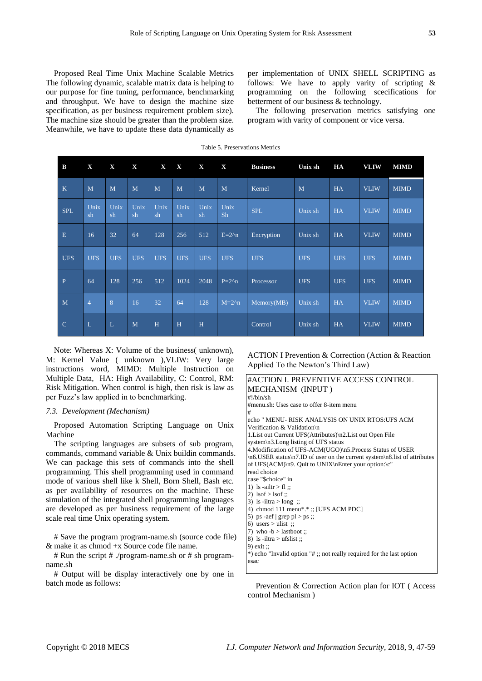Proposed Real Time Unix Machine Scalable Metrics The following dynamic, scalable matrix data is helping to our purpose for fine tuning, performance, benchmarking and throughput. We have to design the machine size specification, as per business requirement problem size). The machine size should be greater than the problem size. Meanwhile, we have to update these data dynamically as

per implementation of UNIX SHELL SCRIPTING as follows: We have to apply varity of scripting & programming on the following scecifications for betterment of our business & technology.

The following preservation metrics satisfying one program with varity of component or vice versa.

| B             | X              | $\mathbf X$  | $\mathbf X$ | $\mathbf X$ | $\mathbf X$ | $\mathbf X$ | $\mathbf X$ | <b>Business</b> | Unix sh    | HA         | <b>VLIW</b> | <b>MIMD</b> |
|---------------|----------------|--------------|-------------|-------------|-------------|-------------|-------------|-----------------|------------|------------|-------------|-------------|
| $\mathbf K$   | M              | M            | M           | M           | M           | M           | M           | Kernel          | M          | HA         | <b>VLIW</b> | <b>MIMD</b> |
| <b>SPL</b>    | Unix<br>sh     | Unix<br>sh   | Unix<br>sh  | Unix<br>sh  | Unix<br>sh  | Unix<br>sh  | Unix<br>Sh  | <b>SPL</b>      | Unix sh    | HA         | <b>VLIW</b> | <b>MIMD</b> |
| E             | 16             | 32           | 64          | 128         | 256         | 512         | $E=2^n$ n   | Encryption      | Unix sh    | <b>HA</b>  | <b>VLIW</b> | <b>MIMD</b> |
| <b>UFS</b>    | <b>UFS</b>     | <b>UFS</b>   | <b>UFS</b>  | <b>UFS</b>  | <b>UFS</b>  | <b>UFS</b>  | <b>UFS</b>  | <b>UFS</b>      | <b>UFS</b> | <b>UFS</b> | <b>UFS</b>  | <b>MIMD</b> |
| $\mathbf{P}$  | 64             | 128          | 256         | 512         | 1024        | 2048        | $P=2^n$     | Processor       | <b>UFS</b> | <b>UFS</b> | <b>UFS</b>  | <b>MIMD</b> |
| M             | $\overline{4}$ | 8            | 16          | 32          | 64          | 128         | $M=2^n$ n   | Memory(MB)      | Unix sh    | HA         | <b>VLIW</b> | <b>MIMD</b> |
| $\mathcal{C}$ | $\mathbf{L}$   | $\mathbf{L}$ | M           | H           | H           | H           |             | Control         | Unix sh    | HA         | <b>VLIW</b> | <b>MIMD</b> |

Table 5. Preservations Metrics

Note: Whereas X: Volume of the business( unknown), M: Kernel Value ( unknown ),VLIW: Very large instructions word, MIMD: Multiple Instruction on Multiple Data, HA: High Availability, C: Control, RM: Risk Mitigation. When control is high, then risk is law as per Fuzz's law applied in to benchmarking.

## *7.3. Development (Mechanism)*

Proposed Automation Scripting Language on Unix Machine

The scripting languages are subsets of sub program, commands, command variable & Unix buildin commands. We can package this sets of commands into the shell programming. This shell programming used in command mode of various shell like k Shell, Born Shell, Bash etc. as per availability of resources on the machine. These simulation of the integrated shell programming languages are developed as per business requirement of the large scale real time Unix operating system.

# Save the program program-name.sh (source code file) & make it as chmod +x Source code file name.

# Run the script # ./program-name.sh or # sh programname.sh

# Output will be display interactively one by one in batch mode as follows:

ACTION I Prevention & Correction (Action & Reaction Applied To the Newton's Third Law)

#### #ACTION I. PREVENTIVE ACCESS CONTROL MECHANISM (INPUT ) #!/bin/sh #menu.sh: Uses case to offer 8-item menu # echo " MENU- RISK ANALYSIS ON UNIX RTOS:UFS ACM Verification & Validation\n 1.List out Current UFS(Attributes)\n2.List out Open File system\n3.Long listing of UFS status 4.Modification of UFS-ACM(UGO)\n5.Process Status of USER \n6.USER status\n7.ID of user on the current system\n8.list of attributes of UFS(ACM)\n9. Quit to UNIX\nEnter your option:\c" read choice case "\$choice" in 1) ls -ailtr  $>$  fl :: 2)  $\text{lsof} > \text{lsof}$ ;; 3) ls -iltra > long ;; 4) chmod 111 menu\*.\* ;; [UFS ACM PDC] 5) ps -aef  $|$  grep pl > ps ;; 6) users > ulist ;; 7) who  $-b >$  lastboot :: 8) ls -iltra > ufslist :: 9) exit ;; \*) echo "Invalid option "# ;; not really required for the last option esac

Prevention & Correction Action plan for IOT ( Access control Mechanism )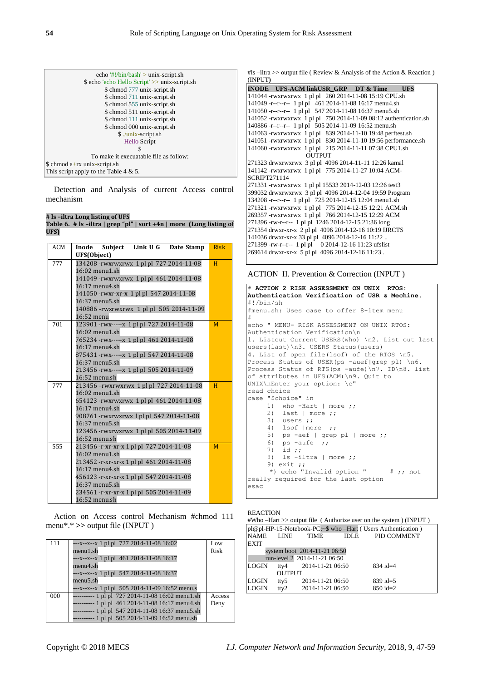| echo '#!/bin/bash' > unix-script.sh           |
|-----------------------------------------------|
| \$ echo lecho Hello Script' >> unix-script.sh |
| \$ chmod 777 unix-script.sh                   |
| \$ chmod 711 unix-script.sh                   |
| \$ chmod 555 unix-script.sh                   |
| \$ chmod 511 unix-script.sh                   |
| \$ chmod 111 unix-script.sh                   |
| \$ chmod 000 unix-script.sh                   |
| \$ ./unix-script.sh                           |
| Hello Script                                  |
| S                                             |
| To make it execuatable file as follow:        |
| \$ chmod a+rx unix-script.sh                  |
| This script apply to the Table 4 $\&$ 5.      |
|                                               |

Detection and Analysis of current Access control mechanism

# **# ls –iltra Long listing of UFS**

**Table 6. # ls –iltra | grep "pl" | sort +4n | more (Long listing of UFS)**

| ACM | Inode Subject Link U G Date Stamp             | <b>Risk</b> |  |  |  |  |  |  |
|-----|-----------------------------------------------|-------------|--|--|--|--|--|--|
|     | UFS(Object)                                   |             |  |  |  |  |  |  |
| 777 | 134208 - rwxrwxrwx 1 pl pl 727 2014-11-08     | H           |  |  |  |  |  |  |
|     | 16:02 menu1.sh                                |             |  |  |  |  |  |  |
|     | 141049 - rwxrwxrwx 1 pl pl 461 2014-11-08     |             |  |  |  |  |  |  |
|     | $16:17$ menu4.sh                              |             |  |  |  |  |  |  |
|     | 141050 - rwxr-xr-x 1 pl pl 547 2014-11-08     |             |  |  |  |  |  |  |
|     | $16:37$ menu5.sh                              |             |  |  |  |  |  |  |
|     | 140886 - rwxrwxrwx 1 pl pl 505 2014-11-09     |             |  |  |  |  |  |  |
|     | 16:52 menu                                    |             |  |  |  |  |  |  |
| 701 | 123901 - rwx - - - - x 1 pl pl 727 2014-11-08 | M           |  |  |  |  |  |  |
|     | 16:02 menu1.sh                                |             |  |  |  |  |  |  |
|     | 765234 - rwx - - - - x 1 pl pl 461 2014-11-08 |             |  |  |  |  |  |  |
|     | 16:17 menu4.sh                                |             |  |  |  |  |  |  |
|     | 875431-rwx-----x 1 pl pl 547 2014-11-08       |             |  |  |  |  |  |  |
|     | 16:37 menu5.sh                                |             |  |  |  |  |  |  |
|     | 213456-rwx----- x 1 pl pl 505 2014-11-09      |             |  |  |  |  |  |  |
|     | 16:52 menu.sh                                 |             |  |  |  |  |  |  |
| 777 | 213456-rwxrwxrwx 1 pl pl 727 2014-11-08       | H           |  |  |  |  |  |  |
|     | 16:02 menu1.sh                                |             |  |  |  |  |  |  |
|     | 654123 - rwxrwxrwx 1 pl pl 461 2014-11-08     |             |  |  |  |  |  |  |
|     | $16:17$ menu4.sh                              |             |  |  |  |  |  |  |
|     | 908761 - rwxrwxrwx 1 pl pl 547 2014-11-08     |             |  |  |  |  |  |  |
|     | 16:37 menu5.sh                                |             |  |  |  |  |  |  |
|     | 123456 - rwxrwxrwx 1 pl pl 505 2014-11-09     |             |  |  |  |  |  |  |
|     | 16:52 menu.sh                                 |             |  |  |  |  |  |  |
| 555 | 213456 - r-xr-xr-x 1 pl pl 727 2014-11-08     | M           |  |  |  |  |  |  |
|     | 16:02 menu1.sh                                |             |  |  |  |  |  |  |
|     | 213452 - r-xr-xr-x 1 pl pl 461 2014-11-08     |             |  |  |  |  |  |  |
|     | 16:17 menu4.sh                                |             |  |  |  |  |  |  |
|     | 456123 - r-xr-xr-x 1 pl pl 547 2014-11-08     |             |  |  |  |  |  |  |
|     | $16:37$ menu5.sh                              |             |  |  |  |  |  |  |
|     | 234561 - r-xr-xr-x 1 pl pl 505 2014-11-09     |             |  |  |  |  |  |  |
|     | 16:52 menu.sh                                 |             |  |  |  |  |  |  |

Action on Access control Mechanism #chmod 111 menu\*.\* **>>** output file (INPUT )

| menu1.sh<br>Risk<br>$-x-x-x$ 1 pl pl 461 2014-11-08 16:17<br>menu4.sh |  |
|-----------------------------------------------------------------------|--|
|                                                                       |  |
|                                                                       |  |
|                                                                       |  |
| $-x-x-x$ 1 pl pl 547 2014-11-08 16:37                                 |  |
| menu5.sh                                                              |  |
| $-x-x-x$ -x-x 1 pl pl 505 2014-11-09 16:52 menu.s                     |  |
| $------ 1$ pl pl 727 2014-11-08 16:02 menu1.sh<br>000<br>Access       |  |
| ---------- 1 pl pl 461 2014-11-08 16:17 menu4.sh<br>Deny              |  |
| ---------- 1 pl pl 547 2014-11-08 16:37 menu5.sh                      |  |
| ---------- 1 pl pl 505 2014-11-09 16:52 menu.sh                       |  |

#ls –iltra >> output file (Review & Analysis of the Action & Reaction) (INPUT**)**

|                     | INODE UFS-ACM linkUSR GRP DT & Time                               |               |  |  | <b>UFS</b> |  |
|---------------------|-------------------------------------------------------------------|---------------|--|--|------------|--|
|                     | 141044 -rwxrwxrwx 1 pl pl 260 2014-11-08 15:19 CPU.sh             |               |  |  |            |  |
|                     | 141049 -r--r--r-- 1 pl pl 461 2014-11-08 16:17 menu4.sh           |               |  |  |            |  |
|                     | 141050 - r-- r-- r-- 1 pl pl 547 2014-11-08 16:37 menu5.sh        |               |  |  |            |  |
|                     | 141052 - rwxrwxrwx 1 pl pl 750 2014-11-09 08:12 authentication.sh |               |  |  |            |  |
|                     | 140886 -r--r--r-- 1 pl pl 505 2014-11-09 16:52 menu.sh            |               |  |  |            |  |
|                     | 141063 - rwxrwxrwx 1 pl pl 839 2014-11-10 19:48 perftest.sh       |               |  |  |            |  |
|                     | 141051 - rwxrwxrwx 1 pl pl 830 2014-11-10 19:56 performance.sh    |               |  |  |            |  |
|                     | 141060 -rwxrwxrwx 1 pl pl 215 2014-11-11 07:38 CPU1.sh            |               |  |  |            |  |
|                     |                                                                   | <b>OUTPUT</b> |  |  |            |  |
|                     | 271323 drwxrwxrwx 3 pl pl 4096 2014-11-11 12:26 kamal             |               |  |  |            |  |
|                     | 141142 - rwxrwxrwx 1 pl pl 775 2014-11-27 10:04 ACM-              |               |  |  |            |  |
| <b>SCRIPT271114</b> |                                                                   |               |  |  |            |  |
|                     | 271331 - rwxrwxrwx 1 pl pl 15533 2014-12-03 12:26 test3           |               |  |  |            |  |
|                     | 399032 drwxrwxrwx 3 pl pl 4096 2014-12-04 19:59 Program           |               |  |  |            |  |
|                     | 134208 -r--r--r-- 1 pl pl 725 2014-12-15 12:04 menu1.sh           |               |  |  |            |  |
|                     | 271321 - rwxrwxrwx 1 pl pl 775 2014-12-15 12:21 ACM.sh            |               |  |  |            |  |
|                     | 269357 - rwxrwxrwx 1 pl pl 766 2014-12-15 12:29 ACM               |               |  |  |            |  |
|                     | 271396 -rw-r--r-- 1 pl pl 1246 2014-12-15 21:36 long              |               |  |  |            |  |
|                     | 271354 drwxr-xr-x 2 pl pl 4096 2014-12-16 10:19 IJRCTS            |               |  |  |            |  |
|                     | 141036 drwxr-xr-x 33 pl pl 4096 2014-12-16 11:22                  |               |  |  |            |  |
|                     | 271399 -rw-r--r-- 1 pl pl 0 2014-12-16 11:23 ufslist              |               |  |  |            |  |
|                     | 269614 drwxr-xr-x 5 pl pl 4096 2014-12-16 11:23.                  |               |  |  |            |  |

#### ACTION II. Prevention & Correction (INPUT )

```
# ACTION 2 RISK ASSESSMENT ON UNIX RTOS: 
Authentication Verification of USR & Mechine.
#!/bin/sh
#menu.sh: Uses case to offer 8-item menu
#
echo " MENU- RISK ASSESSMENT ON UNIX RTOS: 
Authentication Verification\n
1. Listout Current USERS(who) \n2. List out last 
users(last)\n3. USERS Status(users)
4. List of open file(lsof) of the RTOS \n5. 
Process Status of USER(ps -auef|grep pl) \n6.
Process Status of RTS(ps -aufe)\n7. ID\n8. list 
of attributes in UFS(ACM)\n9. Quit to 
UNIX\nEnter your option: \c"
read choice
case "$choice" in
1) who -Hart | more ;;
 2) last | more ;;
      3) users ;;
 4) lsof |more ;;
5) ps -aef | grep pl | more ;;
     6) ps -aufe \frac{1}{2};
         id ;;
     \begin{array}{c} \text{?} \\ \text{8)} \\ \text{1s -iltra} \\ \text{more ;;} \end{array} 9) exit ;;
*) echo "Invalid option " # ;; not
really required for the last option
esac
```
## REACTION

```
#Who –Hart >> output file ( Authorize user on the system ) (INPUT )
pl@pl-HP-15-Notebook-PC:~$ who –Hart ( Users Authentication )
```

|              |               |                              | $\mathcal{L}$ and $\mathcal{L}$ is a consequent to $\mathcal{L}$ which interference and $\mathcal{L}$ |  |
|--------------|---------------|------------------------------|-------------------------------------------------------------------------------------------------------|--|
|              |               | NAME LINE TIME               | IDLE PID COMMENT                                                                                      |  |
| <b>EXIT</b>  |               |                              |                                                                                                       |  |
|              |               | system boot 2014-11-21 06:50 |                                                                                                       |  |
|              |               | run-level 2 2014-11-21 06:50 |                                                                                                       |  |
| <b>LOGIN</b> |               | tty4 $2014 - 11 - 2106:50$   | $834$ id=4                                                                                            |  |
|              | <b>OUTPUT</b> |                              |                                                                                                       |  |
| <b>LOGIN</b> | tty5          | 2014-11-21 06:50             | $839 \text{ id} = 5$                                                                                  |  |
| <b>LOGIN</b> |               | tty2 $2014-11-2106:50$       | $850 \text{ id} = 2$                                                                                  |  |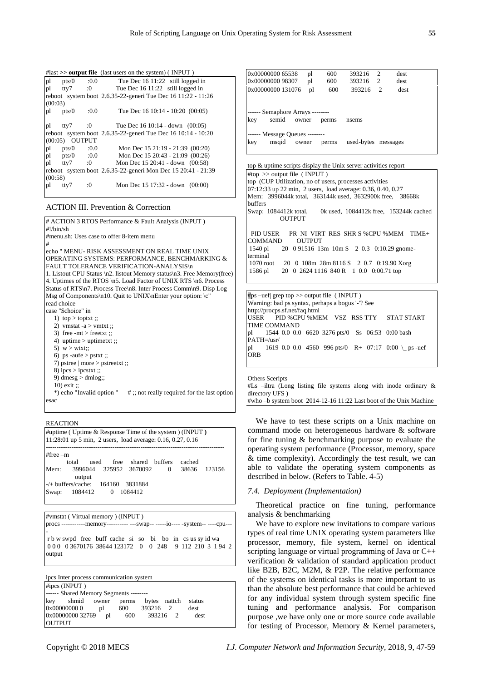|         |                  |      | $\#$ last $\gg$ output file (last users on the system) (INPUT) |
|---------|------------------|------|----------------------------------------------------------------|
| pl      | pts/0            |      | $:0.0$ Tue Dec 16 11:22 still logged in                        |
| pl      | tty7             | :0   | Tue Dec 16 11:22 still logged in                               |
|         |                  |      | reboot system boot 2.6.35-22-generi Tue Dec 16 11:22 - 11:26   |
| (00:03) |                  |      |                                                                |
| pl      | pts/0            | :0.0 | Tue Dec 16 10:14 - 10:20 (00:05)                               |
|         |                  |      |                                                                |
| pl      | tty7             |      | $10$ Tue Dec 16 10:14 - down (00:05)                           |
|         |                  |      | reboot system boot 2.6.35-22-generi Tue Dec 16 10:14 - 10:20   |
|         | (00:05) OUTPUT   |      |                                                                |
| pl      | pts/0 $:0.0$     |      | Mon Dec $15\ 21:19 - 21:39\ (00:20)$                           |
| pl      | pts/0 $:0.0$     |      | Mon Dec 15 20:43 - 21:09 (00:26)                               |
| pl      | $\text{ttv7}$ :0 |      | Mon Dec $15\,20:41$ - down $(00:58)$                           |
|         |                  |      | reboot system boot 2.6.35-22-generi Mon Dec 15 20:41 - 21:39   |
| (00:58) |                  |      |                                                                |
| pl      | tty7             | :0   | Mon Dec 15 17:32 - down (00:00)                                |

# ACTION III. Prevention & Correction

# ACTION 3 RTOS Performance & Fault Analysis (INPUT ) #!/bin/sh #menu.sh: Uses case to offer 8-item menu # echo " MENU- RISK ASSESSMENT ON REAL TIME UNIX OPERATING SYSTEMS: PERFORMANCE, BENCHMARKING & FAULT TOLERANCE VERIFICATION-ANALYSIS\n 1. Listout CPU Status \n2. listout Memory status\n3. Free Memory(free) 4. Uptimes of the RTOS \n5. Load Factor of UNIX RTS \n6. Process Status of RTS\n7. Process Tree\n8. Inter Process Comm\n9. Disp Log Msg of Components\n10. Quit to UNIX\nEnter your option: \c" read choice case "\$choice" in 1)  $\text{top} > \text{toptxt}$ : 2) vmstat -a  $>$  vmtxt :: 3) free -mt > freetxt ;; 4) uptime > uptimetxt ;; 5)  $w > wtxt$ :: 6) ps -aufe > pstxt ;; 7) pstree | more > pstreetxt ;; 8) ipcs > ipcstxt ;; 9) dmesg  $>$  dmlog;; 10) exit ;;<br>\*) echo "Invalid option "  $#$ ;; not really required for the last option

**REACTION** 

esac

| $\#$ uptime (Uptime & Response Time of the system) (INPUT)<br>11:28:01 up 5 min, 2 users, load average: 0.16, 0.27, 0.16 |                 |      |  |                        |                |        |        |
|--------------------------------------------------------------------------------------------------------------------------|-----------------|------|--|------------------------|----------------|--------|--------|
| $#free - m$                                                                                                              | total           | used |  | free shared buffers    |                | cached |        |
| Mem:                                                                                                                     |                 |      |  | 3996044 325952 3670092 | $\overline{0}$ | 38636  | 123156 |
| output                                                                                                                   |                 |      |  |                        |                |        |        |
| $-/-$ buffers/cache: 164160 3831884                                                                                      |                 |      |  |                        |                |        |        |
|                                                                                                                          | Swap: 1084412 0 |      |  | 1084412                |                |        |        |

#vmstat ( Virtual memory ) (INPUT ) procs -----------memory---------- ---swap-- -----io---- -system-- ----cpu--- r b w swpd free buff cache si so bi bo in cs us sy id wa 0 0 0 0 3670176 38644 123172 0 0 248 9 112 210 3 1 94 2 output

ipcs Inter process communication system  $\#$ ings (INDUT )

|               | HIPCS (INPU1)                             |     |          |      |
|---------------|-------------------------------------------|-----|----------|------|
|               | ------ Shared Memory Segments --------    |     |          |      |
|               | key shmid owner perms bytes nattch status |     |          |      |
|               | 0x00000000 0 pl                           | 600 | 393216 2 | dest |
|               | 0x00000000 32769 pl 600 393216 2          |     |          | dest |
| <b>OUTPUT</b> |                                           |     |          |      |

| 0x00000000 65538                                                                          | pl | 600   | 393216     | $\mathcal{D}_{\mathcal{L}}$ | dest     |
|-------------------------------------------------------------------------------------------|----|-------|------------|-----------------------------|----------|
| 0x00000000 98307                                                                          | pl | 600   | 393216     | 2                           | dest     |
| 0x00000000 131076                                                                         | pl | 600   | 393216     | 2                           | dest     |
|                                                                                           |    |       |            |                             |          |
| semid<br>owner                                                                            |    | perms | nsems      |                             |          |
| ------ Semaphore Arrays --------<br>kev<br>------ Message Queues --------<br>msqid<br>key |    |       | used-bytes |                             | messages |

top & uptime scripts display the Unix server activities report #top >> output file ( INPUT ) top (CUP Utilization, no of users, processes activities 07:12:33 up 22 min, 2 users, load average: 0.36, 0.40, 0.27 Mem: 3996044k total, 363144k used, 3632900k free, 38668k buffers<br>Swap: 1084412k total, 0k used, 1084412k free, 153244k cached OUTPUT PID USER PR NI VIRT RES SHR S %CPU %MEM TIME+ COMMAND OUTPUT **COMMAND** 1540 pl 20 0 91516 13m 10m S 2 0.3 0:10.29 gnometerminal 1070 root 20 0 108m 28m 8116 S 2 0.7 0:19.90 Xorg 1586 pl 20 0 2624 1116 840 R 1 0.0 0:00.71 top

#ps –uef| grep top >> output file( INPUT ) Warning: bad ps syntax, perhaps a bogus '-'? See http://procps.sf.net/faq.html USER PID %CPU %MEM VSZ RSS TTY STAT START TIME COMMAND<br>pl 1544 00 00 pl 1544 0.0 0.0 6620 3276 pts/0 Ss 06:53 0:00 bash PATH=/usr/ pl 1619 0.0 0.0 4560 996 pts/0 R+ 07:17 0:00 \\_ ps -uef **ORB** 

Others Sceripts  $#Ls$  –iltra (Long listing file systems along with inode ordinary & directory UFS ) #who –b system boot 2014-12-16 11:22 Last boot of the Unix Machine

We have to test these scripts on a Unix machine on command mode on heterogeneous hardware & software for fine tuning & benchmarking purpose to evaluate the operating system performance (Processor, memory, space & time complexity). Accordingly the test result, we can able to validate the operating system components as described in below. (Refers to Table. 4-5)

## *7.4. Deployment (Implementation)*

Theoretical practice on fine tuning, performance analysis & benchmarking

We have to explore new invitations to compare various types of real time UNIX operating system parameters like processor, memory, file system, kernel on identical scripting language or virtual programming of Java or C++ verification & validation of standard application product like B2B, B2C, M2M, & P2P. The relative performance of the systems on identical tasks is more important to us than the absolute best performance that could be achieved for any individual system through system specific fine tuning and performance analysis. For comparison purpose ,we have only one or more source code available for testing of Processor, Memory & Kernel parameters,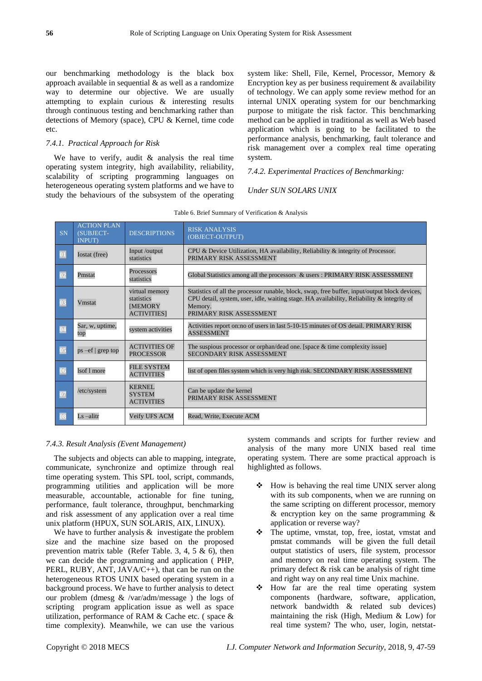our benchmarking methodology is the black box approach available in sequential  $\&$  as well as a randomize way to determine our objective. We are usually attempting to explain curious & interesting results through continuous testing and benchmarking rather than detections of Memory (space), CPU & Kernel, time code etc.

# *7.4.1. Practical Approach for Risk*

We have to verify, audit & analysis the real time operating system integrity, high availability, reliability, scalability of scripting programming languages on heterogeneous operating system platforms and we have to study the behaviours of the subsystem of the operating system like: Shell, File, Kernel, Processor, Memory & Encryption key as per business requirement & availability of technology. We can apply some review method for an internal UNIX operating system for our benchmarking purpose to mitigate the risk factor. This benchmarking method can be applied in traditional as well as Web based application which is going to be facilitated to the performance analysis, benchmarking, fault tolerance and risk management over a complex real time operating system.

*7.4.2. Experimental Practices of Benchmarking:*

# *Under SUN SOLARS UNIX*

| SN             | <b>ACTION PLAN</b><br>(SUBJECT-<br><b>INPUT)</b> | <b>DESCRIPTIONS</b>                                                  | <b>RISK ANALYSIS</b><br>(OBJECT-OUTPUT)                                                                                                                                                                                               |
|----------------|--------------------------------------------------|----------------------------------------------------------------------|---------------------------------------------------------------------------------------------------------------------------------------------------------------------------------------------------------------------------------------|
| $\boxed{01}$   | Iostat (free)                                    | Input /output<br>statistics                                          | CPU & Device Utilization, HA availability, Reliability & integrity of Processor.<br>PRIMARY RISK ASSESSMENT                                                                                                                           |
| 02             | Pmstat                                           | Processors<br>statistics                                             | Global Statistics among all the processors & users: PRIMARY RISK ASSESSMENT                                                                                                                                                           |
|                | Vmstat                                           | virtual memory<br>statistics<br><b>IMEMORY</b><br><b>ACTIVITIES1</b> | Statistics of all the processor runable, block, swap, free buffer, input/output block devices,<br>CPU detail, system, user, idle, waiting stage. HA availability, Reliability $\&$ integrity of<br>Memory.<br>PRIMARY RISK ASSESSMENT |
|                | Sar, w, uptime,<br>top                           | system activities                                                    | Activities report on:no of users in last 5-10-15 minutes of OS detail. PRIMARY RISK<br><b>ASSESSMENT</b>                                                                                                                              |
| 0 <sub>5</sub> | $ps -ef$   grep top                              | <b>ACTIVITIES OF</b><br><b>PROCESSOR</b>                             | The suspious processor or orphan/dead one. [space $&$ time complexity issue]<br><b>SECONDARY RISK ASSESSMENT</b>                                                                                                                      |
| $\sqrt{06}$    | lsof 1 more                                      | <b>FILE SYSTEM</b><br><b>ACTIVITIES</b>                              | list of open files system which is very high risk. SECONDARY RISK ASSESSMENT                                                                                                                                                          |
| 07             | /etc/system                                      | <b>KERNEL</b><br><b>SYSTEM</b><br><b>ACTIVITIES</b>                  | Can be update the kernel<br>PRIMARY RISK ASSESSMENT                                                                                                                                                                                   |
|                | Ls-alitr                                         | Veify UFS ACM                                                        | Read, Write, Execute ACM                                                                                                                                                                                                              |

| Table 6. Brief Summary of Verification & Analysis |  |
|---------------------------------------------------|--|
|---------------------------------------------------|--|

## *7.4.3. Result Analysis (Event Management)*

The subjects and objects can able to mapping, integrate, communicate, synchronize and optimize through real time operating system. This SPL tool, script, commands, programming utilities and application will be more measurable, accountable, actionable for fine tuning, performance, fault tolerance, throughput, benchmarking and risk assessment of any application over a real time unix platform (HPUX, SUN SOLARIS, AIX, LINUX).

We have to further analysis  $\&$  investigate the problem size and the machine size based on the proposed prevention matrix table (Refer Table. 3, 4, 5  $\&$  6), then we can decide the programming and application ( PHP, PERL, RUBY, ANT, JAVA/C++), that can be run on the heterogeneous RTOS UNIX based operating system in a background process. We have to further analysis to detect our problem (dmesg & /var/adm/message ) the logs of scripting program application issue as well as space utilization, performance of RAM & Cache etc. ( space & time complexity). Meanwhile, we can use the various

system commands and scripts for further review and analysis of the many more UNIX based real time operating system. There are some practical approach is highlighted as follows.

- $\div$  How is behaving the real time UNIX server along with its sub components, when we are running on the same scripting on different processor, memory & encryption key on the same programming & application or reverse way?
- The uptime, vmstat, top, free, iostat, vmstat and pmstat commands will be given the full detail output statistics of users, file system, processor and memory on real time operating system. The primary defect & risk can be analysis of right time and right way on any real time Unix machine.
- How far are the real time operating system components (hardware, software, application, network bandwidth & related sub devices) maintaining the risk (High, Medium & Low) for real time system? The who, user, login, netstat-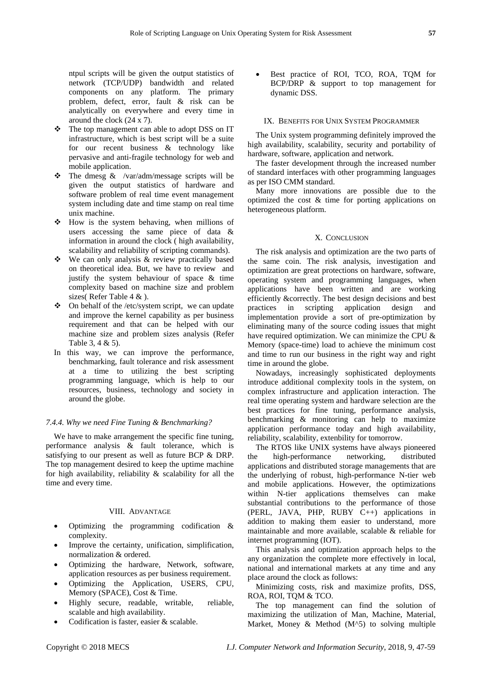ntpul scripts will be given the output statistics of network (TCP/UDP) bandwidth and related components on any platform. The primary problem, defect, error, fault & risk can be analytically on everywhere and every time in around the clock (24 x 7).

- \* The top management can able to adopt DSS on IT infrastructure, which is best script will be a suite for our recent business & technology like pervasive and anti-fragile technology for web and mobile application.
- The dmesg  $\&$  /var/adm/message scripts will be given the output statistics of hardware and software problem of real time event management system including date and time stamp on real time unix machine.
- $\div$  How is the system behaving, when millions of users accessing the same piece of data & information in around the clock ( high availability, scalability and reliability of scripting commands).
- We can only analysis & review practically based on theoretical idea. But, we have to review and justify the system behaviour of space & time complexity based on machine size and problem sizes( Refer Table 4 & ).
- $\triangle$  On behalf of the /etc/system script, we can update and improve the kernel capability as per business requirement and that can be helped with our machine size and problem sizes analysis (Refer Table 3, 4 & 5).
- In this way, we can improve the performance, benchmarking, fault tolerance and risk assessment at a time to utilizing the best scripting programming language, which is help to our resources, business, technology and society in around the globe.

## *7.4.4. Why we need Fine Tuning & Benchmarking?*

We have to make arrangement the specific fine tuning, performance analysis & fault tolerance, which is satisfying to our present as well as future BCP & DRP. The top management desired to keep the uptime machine for high availability, reliability  $\&$  scalability for all the time and every time.

## VIII. ADVANTAGE

- Optimizing the programming codification & complexity.
- Improve the certainty, unification, simplification, normalization & ordered.
- Optimizing the hardware, Network, software, application resources as per business requirement.
- Optimizing the Application, USERS, CPU, Memory (SPACE), Cost & Time.
- Highly secure, readable, writable, reliable, scalable and high availability.
- Codification is faster, easier & scalable.

 Best practice of ROI, TCO, ROA, TQM for BCP/DRP & support to top management for dynamic DSS.

# IX. BENEFITS FOR UNIX SYSTEM PROGRAMMER

The Unix system programming definitely improved the high availability, scalability, security and portability of hardware, software, application and network.

The faster development through the increased number of standard interfaces with other programming languages as per ISO CMM standard.

Many more innovations are possible due to the optimized the cost & time for porting applications on heterogeneous platform.

## X. CONCLUSION

The risk analysis and optimization are the two parts of the same coin. The risk analysis, investigation and optimization are great protections on hardware, software, operating system and programming languages, when applications have been written and are working efficiently &correctly. The best design decisions and best practices in scripting application design and implementation provide a sort of pre-optimization by eliminating many of the source coding issues that might have required optimization. We can minimize the CPU  $\&$ Memory (space-time) load to achieve the minimum cost and time to run our business in the right way and right time in around the globe.

Nowadays, increasingly sophisticated deployments introduce additional complexity tools in the system, on complex infrastructure and application interaction. The real time operating system and hardware selection are the best practices for fine tuning, performance analysis, benchmarking & monitoring can help to maximize application performance today and high availability, reliability, scalability, extenbility for tomorrow.

The RTOS like UNIX systems have always pioneered the high-performance networking, distributed applications and distributed storage managements that are the underlying of robust, high-performance N-tier web and mobile applications. However, the optimizations within N-tier applications themselves can make substantial contributions to the performance of those (PERL, JAVA, PHP, RUBY C++) applications in addition to making them easier to understand, more maintainable and more available, scalable & reliable for internet programming (IOT).

This analysis and optimization approach helps to the any organization the complete more effectively in local, national and international markets at any time and any place around the clock as follows:

Minimizing costs, risk and maximize profits, DSS, ROA, ROI, TQM & TCO.

The top management can find the solution of maximizing the utilization of Man, Machine, Material, Market, Money & Method (M^5) to solving multiple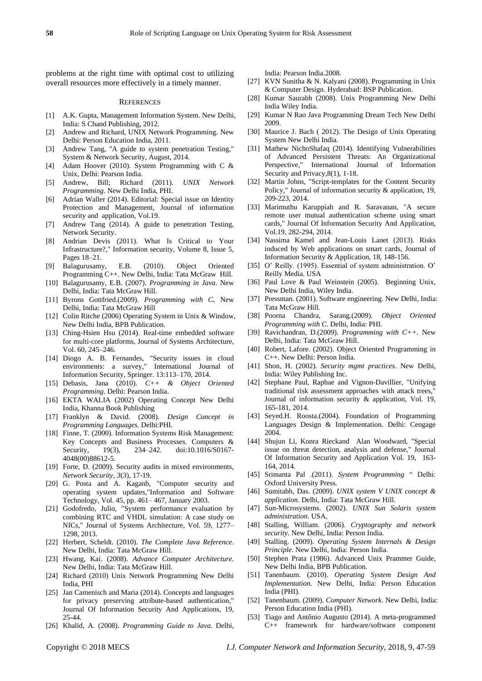problems at the right time with optimal cost to utilizing overall resources more effectively in a timely manner.

## **REFERENCES**

- [1] A.K. Gupta, Management Information System. New Delhi, India: S Chand Publishing, 2012.
- [2] Andrew and Richard, UNIX Network Programming. New Delhi: Person Education India, 2011.
- [3] Andrew Tang, "A guide to system penetration Testing," System & Network Security, August, 2014.
- [4] Adam Hoover (2010). System Programming with C & Unix, Delhi: Pearson India.
- [5] Andrew, Bill; Richard (2011). *UNIX Network Programming*. New Delhi India, PHI.
- [6] Adrian Waller (2014). Editorial: Special issue on Identity Protection and Management, Journal of information security and application, Vol.19.
- [7] Andrew Tang (2014). A guide to penetration Testing, Network Security.
- [8] Andrian Devis (2011). What Is Critical to Your Infrastructure?," Information security, Volume 8, Issue 5, Pages 18–21.
- [9] Balagurusamy, E.B. (2010). Object Oriented Programming C++. New Delhi, India: Tata McGraw Hill.
- [10] Balagurusamy, E.B. (2007). *Programming in Java*. New Delhi, India: Tata McGraw Hill.
- [11] Byrons Gottfried.(2009). *Programming with C***.** New Delhi, India: Tata McGraw Hill
- [12] Colin Ritche (2006) Operating System in Unix & Window, New Delhi India, BPB Publication.
- [13] Ching-Hsien Hsu (2014). Real-time embedded software for multi-core platforms, Journal of Systems Architecture, Vol. 60, 245–246.
- [14] Diogo A. B. Fernandes, "Security issues in cloud environments: a survey," International Journal of Information Security, Springer. 13:113–170, 2014.
- [15] Debasis, Jana (2010). *C++ & Object Oriented Programming*. Delhi: Pearson India.
- [16] EKTA WALIA (2002) Operating Concept New Delhi India, Khanna Book Publishing
- [17] Franklyn & David. (2008). *Design Concept in Programming Languages*. Delhi:PHI.
- [18] Finne, T. (2000). Information Systems Risk Management: Key Concepts and Business Processes. Computers & Security, 19(3), 234–242. doi:10.1016/S0167-Security, 19(3), 234–242. doi:10.1016/S0167-4048(00)88612-5.
- [19] Forte, D. (2009). Security audits in mixed environments, *Network Security, 3*(3), 17-19.
- [20] G. Posta and A. Kaganb, "Computer security and operating system updates,"Information and Software Technology, Vol. 45, pp. 461– 467, January 2003.
- [21] Godofredo, Julio, "System performance evaluation by combining RTC and VHDL simulation: A case study on NICs," Journal of Systems Architecture, Vol. 59, 1277– 1298, 2013.
- [22] Herbert, Scheldt. (2010). *The Complete Java Reference*. New Delhi, India: Tata McGraw Hill.
- [23] Hwang, Kai. (2008). *Advance Computer Architecture*. New Delhi, India: Tata McGraw Hill.
- [24] Richard (2010) Unix Network Programming New Delhi India, PHI
- [25] Jan Camenisch and Maria (2014). Concepts and languages for privacy preserving attribute-based authentication," Journal Of Information Security And Applications, 19, 25-44.
- [26] Khalid, A. (2008). *Programming Guide to Java*. Delhi,

India: Pearson India.2008.

- [27] KVN Sunitha & N. Kalyani (2008). Programming in Unix & Computer Design. Hyderabad: BSP Publication.
- [28] Kumar Saurabh (2008). Unix Programming New Delhi India Wiley India.
- [29] Kumar N Rao Java Programming Dream Tech New Delhi 2009.
- [30] Maurice J. Bach (2012). The Design of Unix Operating System New Delhi India.
- [31] Mathew NichoShafaq (2014). Identifying Vulnerabilities of Advanced Persistent Threats: An Organizational Perspective," International Journal of Information Security and Privacy,8(1), 1-18.
- [32] Martin Johns, "Script-templates for the Content Security Policy," Journal of information security & application, 19, 209-223, 2014.
- [33] Marimuthu Karuppiah and R. Saravanan, "A secure remote user mutual authentication scheme using smart cards," Journal Of Information Security And Application, Vol.19, 282-294, 2014.
- [34] Nassima Kamel and Jean-Louis Lanet (2013). Risks induced by Web applications on smart cards, Journal of Information Security & Application, 18, 148-156.
- [35] O' Reilly. (1995). Essential of system administration. O' Reilly Media. USA
- [36] Paul Love & Paul Weinstein (2005). Beginning Unix, New Delhi India, Wiley India.
- [37] Pressman. (2001). Software engineering. New Delhi, India: Tata McGraw Hill.
- [38] Poorna Chandra, Sarang.(2009). *Object Oriented Programming with C*. Delhi, India: PHI.
- [39] Ravichandran, D.(2009). *Programming with C++.* New Delhi, India: Tata McGraw Hill.
- [40] Robert, Lafore. (2002). Object Oriented Programming in C++. New Delhi: Person India.
- [41] Shon, H. (2002). *Security mgmt practices*. New Delhi, India: Wiley Publishing Inc.
- [42] Stephane Paul, Raphae and Vignon-Davillier, "Unifying traditional risk assessment approaches with attack trees," Journal of information security & application, Vol. 19, 165-181, 2014.
- [43] Seyed.H. Roosta.(2004). Foundation of Programming Languages Design & Implementation. Delhi: Cengage 2004.
- [44] Shujun Li, Konra Rieckand Alan Woodward, "Special issue on threat detection, analysis and defense," Journal Of Information Security and Application Vol. 19, 163- 164, 2014.
- [45] Srimanta Pal .(2011). *System Programming* " Delhi: Oxford University Press.
- [46] Sumitabh, Das. (2009). *UNIX system V UNIX concept & application*. Delhi, India: Tata McGraw Hill.
- [47] Sun-Microsystems. (2002). *UNIX Sun Solaris system administration*. USA,
- [48] Stalling, William. (2006). *Cryptography and network security*. New Delhi, India: Person India.
- [49] Stalling. (2009). *Operating System Internals & Design Principle*. New Delhi, India: Person India.
- [50] Stephen Prata (1986). Advanced Unix Prammer Guide, New Delhi India, BPB Publication.
- [51] Tanenbaum. (2010). *Operating System Design And Implementation*. New Delhi, India: Person Education India (PHI).
- [52] Tanenbaum. (2009). *Computer Network.* New Delhi, India: Person Education India (PHI).
- [53] Tiago and Antônio Augusto (2014). A meta-programmed C++ framework for hardware/software component